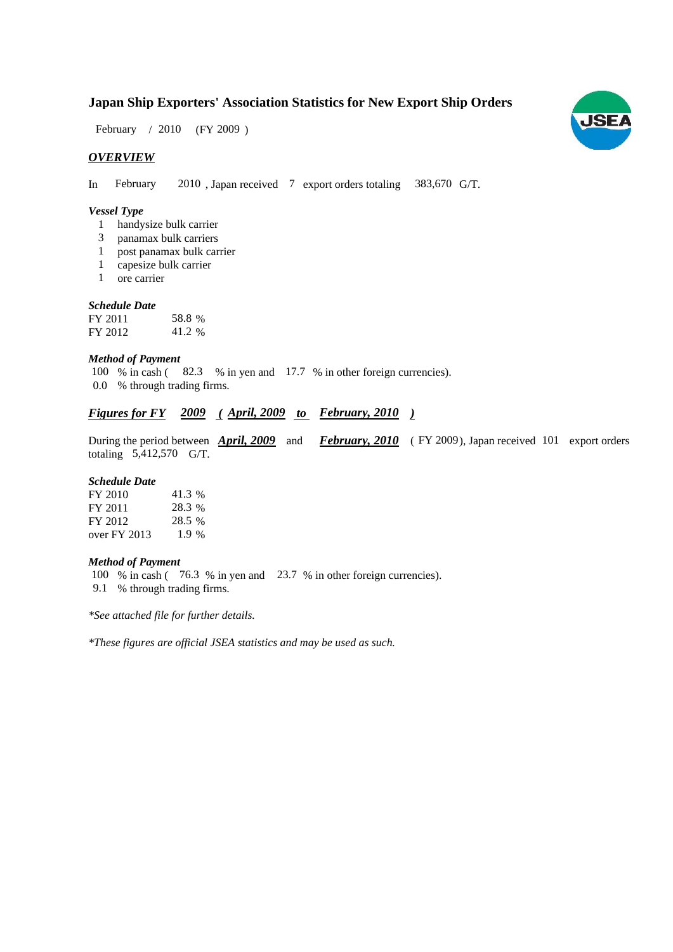# **Japan Ship Exporters' Association Statistics for New Export Ship Orders**

February / 2010 (FY 2009)

## *OVERVIEW*

In February 2010, Japan received 7 export orders totaling 383,670 G/T.

#### *Vessel Type*

- handysize bulk carrier 1
- panamax bulk carriers 3
- post panamax bulk carrier 1
- capesize bulk carrier 1
- ore carrier 1

### *Schedule Date*

| FY 2011 | 58.8 % |
|---------|--------|
| FY 2012 | 41.2 % |

#### *Method of Payment*

- 100 % in cash (82.3 % in yen and 17.7 % in other foreign currencies).
- 0.0 % through trading firms.

# *Figures for FY* 2009 (April, 2009 to February, 2010)

During the period between **April, 2009** and **February, 2010** (FY 2009), Japan received 101 export orders totaling  $5,412,570$  G/T.

#### *Schedule Date*

| FY 2010      | 41.3%   |
|--------------|---------|
| FY 2011      | 28.3 %  |
| FY 2012      | 28.5 %  |
| over FY 2013 | $1.9\%$ |

#### *Method of Payment*

100 % in cash (76.3 % in yen and 23.7 % in other foreign currencies).

% through trading firms. 9.1

*\*See attached file for further details.*

*\*These figures are official JSEA statistics and may be used as such.*

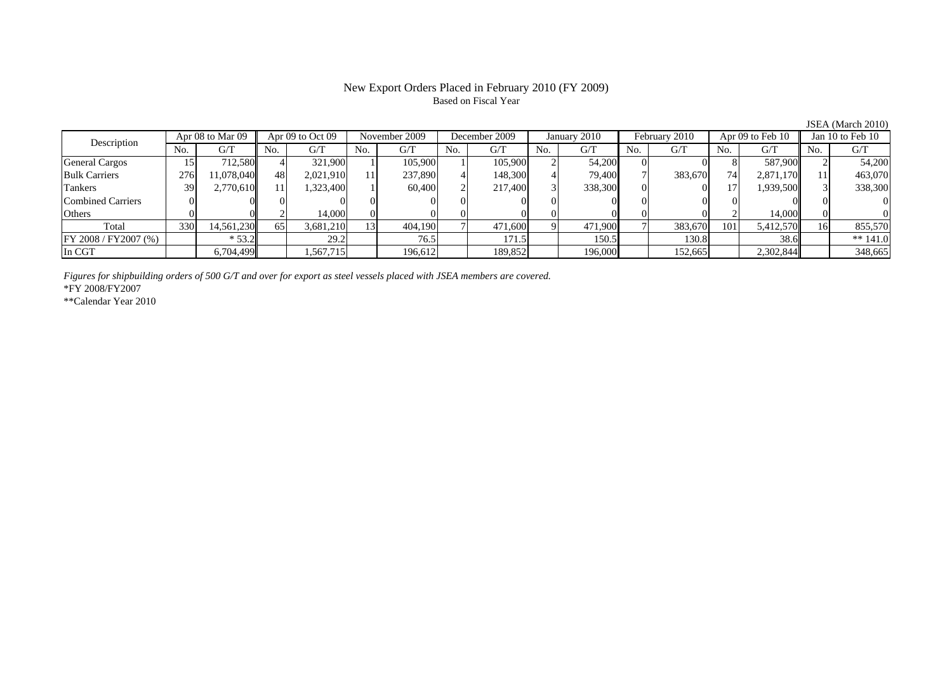# New Export Orders Placed in February 2010 (FY 2009) Based on Fiscal Year

JSEA (March 2010)

| JOLA (MARICII ZUTU)   |     |                  |     |                      |     |               |     |               |     |              |     |               |           |                  |     |                    |
|-----------------------|-----|------------------|-----|----------------------|-----|---------------|-----|---------------|-----|--------------|-----|---------------|-----------|------------------|-----|--------------------|
| Description           |     | Apr 08 to Mar 09 |     | Apr $09$ to Oct $09$ |     | November 2009 |     | December 2009 |     | January 2010 |     | February 2010 |           | Apr 09 to Feb 10 |     | Jan 10 to Feb $10$ |
|                       | No. | G/T              | No. | G/T                  | No. | G/T           | No. | G/T           | No. | G/T          | No. | G/T           | No.       | G/T              | No. | G/T                |
| <b>General Cargos</b> |     | 712.580L         |     | 321.900              |     | 105,900       |     | 105,900       |     | 54,200       |     |               |           | 587,900          |     | 54,200             |
| <b>Bulk Carriers</b>  | 276 | 11.078.040       | 48  | 2.021.910            |     | 237,890       |     | 148,300       |     | 79.400       |     | 383,670       | <b>74</b> | 2,871,170        |     | 463,070            |
| Tankers               | 39  | 2,770,610        |     | 1,323,400            |     | 60,400        |     | 217,400       |     | 338,300      |     |               |           | 1,939,500        |     | 338,300            |
| Combined Carriers     |     |                  |     |                      |     |               |     |               |     |              |     |               |           |                  |     |                    |
| Others                |     |                  |     | 14.000               | 01  |               |     |               |     |              |     |               |           | 14,000           |     |                    |
| Total                 | 330 | 14,561,230       | 65  | 3,681,210            | 13  | 404,190       |     | 471,600       |     | 471,900      |     | 383,670       | 101       | 5,412,570        |     | 855,570            |
| FY 2008 / FY 2007 (%) |     | $*53.2$          |     | 29.2                 |     | 76.5          |     | 171.5         |     | 150.5        |     | 130.8         |           | 38.6             |     | ** $141.0$         |
| In CGT                |     | 6,704,499        |     | 1,567,715            |     | 196,612       |     | 189,852       |     | 196,000      |     | 152,665       |           | 2,302,844        |     | 348,665            |

*Figures for shipbuilding orders of 500 G/T and over for export as steel vessels placed with JSEA members are covered.* \*FY 2008/FY2007

\*\*Calendar Year 2010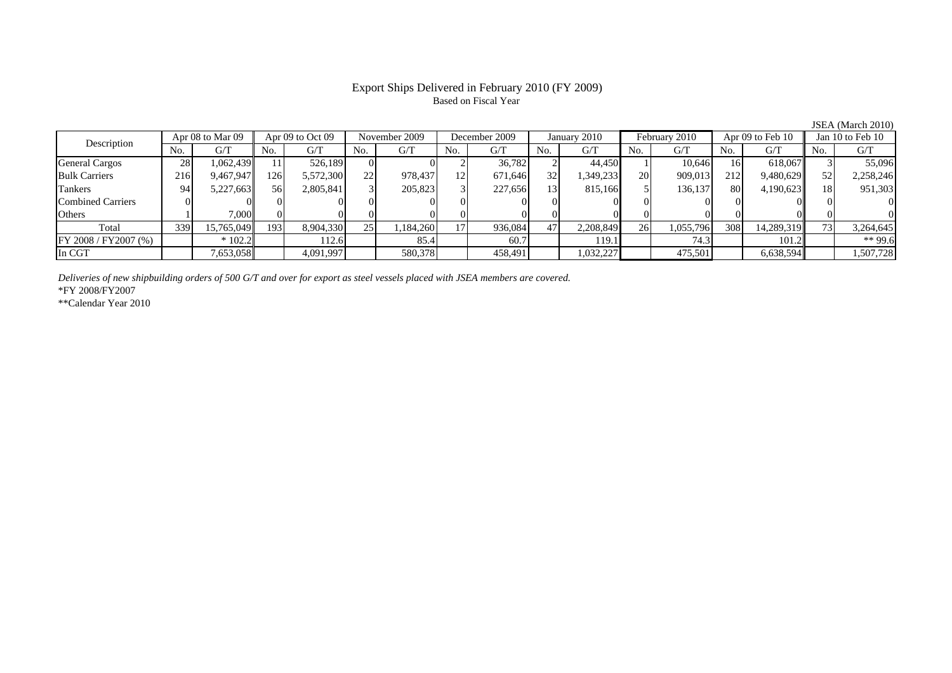# Export Ships Delivered in February 2010 (FY 2009) Based on Fiscal Year

JSEA (March 2010)

| Description              | Apr 08 to Mar 09 |            | Apr $09$ to Oct $09$ |           | November 2009 |          | December 2009 |         | January 2010   |           | February 2010 |           | Apr 09 to Feb 10 |            | Jan $10$ to Feb $10$ |           |
|--------------------------|------------------|------------|----------------------|-----------|---------------|----------|---------------|---------|----------------|-----------|---------------|-----------|------------------|------------|----------------------|-----------|
|                          | No.              | G/T        | No.                  | G/T       | No.           | G/T      | No.           | G/T     | N <sub>o</sub> | G/T       | No.           | G/T       | No.              | G/T        | No.                  | G/T       |
| <b>General Cargos</b>    | 28               | 1,062,439  |                      | 526.189   |               |          |               | 36,782  |                | 44.450    |               | 10.646    | 16               | 618,067    |                      | 55,096    |
| <b>Bulk Carriers</b>     | 216              | 9,467,947  | 126                  | 5,572,300 | 22            | 978,437  | 12            | 671,646 | 32             | 1,349,233 | 20            | 909,013   | 212 <sub>1</sub> | 9,480,629  | 52                   | 2,258,246 |
| Tankers                  | 94               | 5,227,663  | 56                   | 2,805,841 |               | 205,823  |               | 227,656 | 13             | 815,166   |               | 136,137   | 80               | 4,190,623  | 181                  | 951,303   |
| <b>Combined Carriers</b> |                  |            |                      |           |               |          |               |         |                |           |               |           |                  |            |                      |           |
| Others                   |                  | 7.000      |                      |           |               |          |               |         |                |           |               |           |                  |            |                      |           |
| Total                    | 339              | 15,765,049 | 193                  | 8,904,330 | 25            | ,184,260 |               | 936,084 | 47             | 2,208,849 | 26            | 1,055,796 | 308              | 14,289,319 | 73 <sub>1</sub>      | 3,264,645 |
| FY 2008 / FY 2007 (%)    |                  | $*102.2$   |                      | 112.6     |               | 85.4     |               | 60.7    |                | 119.1     |               | 74.3      |                  | 101.2      |                      | $*$ 99.6  |
| In CGT                   |                  | 7,653,058  |                      | 4,091,997 |               | 580,378  |               | 458,491 |                | 1,032,227 |               | 475,501   |                  | 6,638,594  |                      | 1,507,728 |

*Deliveries of new shipbuilding orders of 500 G/T and over for export as steel vessels placed with JSEA members are covered.*

\*FY 2008/FY2007

\*\*Calendar Year 2010